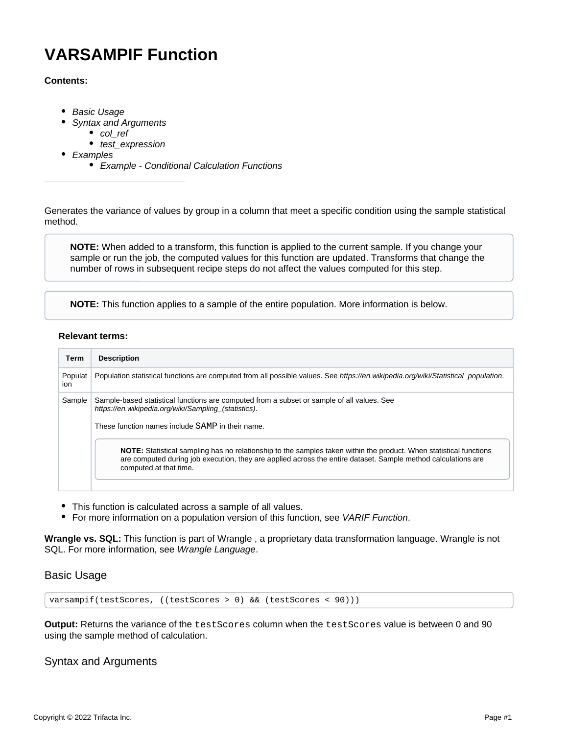# **VARSAMPIF Function**

## **Contents:**

- [Basic Usage](#page-0-0)
	- [Syntax and Arguments](#page-0-1)
		- [col\\_ref](#page-1-0)
		- test expression
- [Examples](#page-1-2)
	- [Example Conditional Calculation Functions](#page-1-3)

Generates the variance of values by group in a column that meet a specific condition using the sample statistical method.

**NOTE:** When added to a transform, this function is applied to the current sample. If you change your sample or run the job, the computed values for this function are updated. Transforms that change the number of rows in subsequent recipe steps do not affect the values computed for this step.

**NOTE:** This function applies to a sample of the entire population. More information is below.

#### **Relevant terms:**

| <b>Term</b>    | <b>Description</b>                                                                                                                                                                                                                                            |
|----------------|---------------------------------------------------------------------------------------------------------------------------------------------------------------------------------------------------------------------------------------------------------------|
| Populat<br>ion | Population statistical functions are computed from all possible values. See https://en.wikipedia.org/wiki/Statistical_population.                                                                                                                             |
| Sample         | Sample-based statistical functions are computed from a subset or sample of all values. See<br>https://en.wikipedia.org/wiki/Sampling (statistics).<br>These function names include SAMP in their name.                                                        |
|                | NOTE: Statistical sampling has no relationship to the samples taken within the product. When statistical functions<br>are computed during job execution, they are applied across the entire dataset. Sample method calculations are<br>computed at that time. |

- This function is calculated across a sample of all values.
- For more information on a population version of this function, see [VARIF Function](https://docs.trifacta.com/display/AWS/VARIF+Function).

**Wrangle vs. SQL:** This function is part of Wrangle , a proprietary data transformation language. Wrangle is not SQL. For more information, see [Wrangle Language](https://docs.trifacta.com/display/AWS/Wrangle+Language).

# <span id="page-0-0"></span>Basic Usage

varsampif(testScores, ((testScores > 0) && (testScores < 90)))

**Output:** Returns the variance of the testScores column when the testScores value is between 0 and 90 using the sample method of calculation.

# <span id="page-0-1"></span>Syntax and Arguments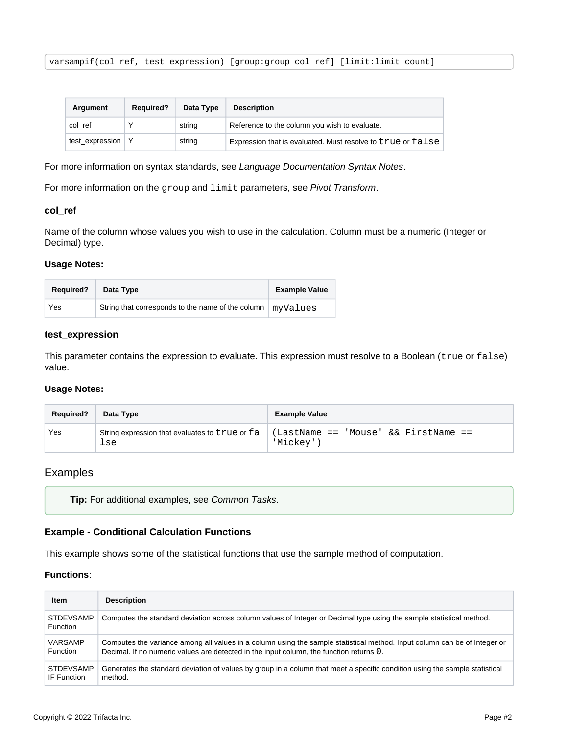varsampif(col\_ref, test\_expression) [group:group\_col\_ref] [limit:limit\_count]

| Argument            | <b>Required?</b> | Data Type | <b>Description</b>                                          |  |
|---------------------|------------------|-----------|-------------------------------------------------------------|--|
| col ref             |                  | string    | Reference to the column you wish to evaluate.               |  |
| test_expression   Y |                  | string    | Expression that is evaluated. Must resolve to true or false |  |

For more information on syntax standards, see [Language Documentation Syntax Notes](https://docs.trifacta.com/display/AWS/Language+Documentation+Syntax+Notes).

For more information on the group and limit parameters, see [Pivot Transform](https://docs.trifacta.com/display/AWS/Pivot+Transform).

#### <span id="page-1-0"></span>**col\_ref**

Name of the column whose values you wish to use in the calculation. Column must be a numeric (Integer or Decimal) type.

#### **Usage Notes:**

| <b>Required?</b> | Data Type                                         | <b>Example Value</b> |
|------------------|---------------------------------------------------|----------------------|
| Yes              | String that corresponds to the name of the column | myValues             |

#### <span id="page-1-1"></span>**test\_expression**

This parameter contains the expression to evaluate. This expression must resolve to a Boolean (true or false) value.

#### **Usage Notes:**

| <b>Required?</b> | Data Type                                             | <b>Example Value</b>                             |
|------------------|-------------------------------------------------------|--------------------------------------------------|
| Yes              | String expression that evaluates to true or fa<br>lse | (LastName == 'Mouse' && FirstName ==<br>'Mickev' |

## <span id="page-1-2"></span>Examples

```
Tip: For additional examples, see Common Tasks.
```
#### <span id="page-1-3"></span>**Example - Conditional Calculation Functions**

This example shows some of the statistical functions that use the sample method of computation.

#### **Functions**:

| Item                                | <b>Description</b>                                                                                                          |
|-------------------------------------|-----------------------------------------------------------------------------------------------------------------------------|
| <b>STDEVSAMP</b><br><b>Function</b> | Computes the standard deviation across column values of Integer or Decimal type using the sample statistical method.        |
| VARSAMP                             | Computes the variance among all values in a column using the sample statistical method. Input column can be of Integer or   |
| Function                            | Decimal. If no numeric values are detected in the input column, the function returns 0.                                     |
| <b>STDEVSAMP</b>                    | Generates the standard deviation of values by group in a column that meet a specific condition using the sample statistical |
| IF Function                         | method.                                                                                                                     |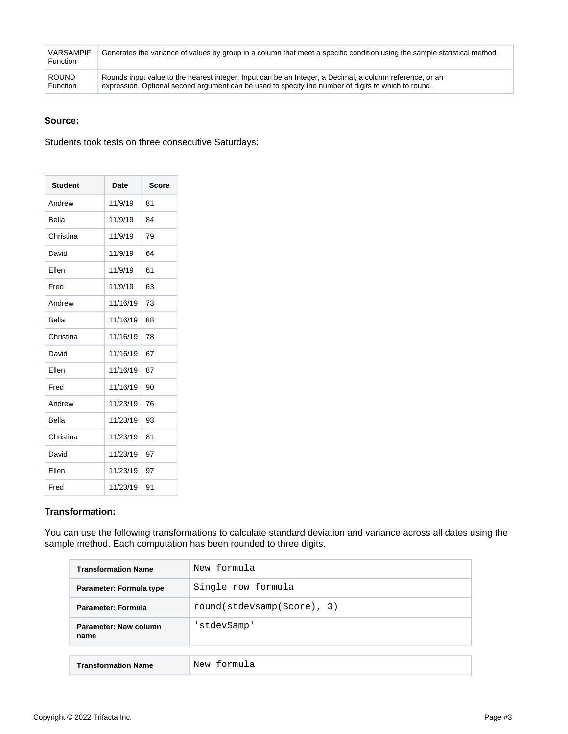| <b>VARSAMPIF</b><br><b>Function</b> | Generates the variance of values by group in a column that meet a specific condition using the sample statistical method. |
|-------------------------------------|---------------------------------------------------------------------------------------------------------------------------|
| <b>ROUND</b>                        | Rounds input value to the nearest integer. Input can be an Integer, a Decimal, a column reference, or an                  |
| <b>Function</b>                     | expression. Optional second argument can be used to specify the number of digits to which to round.                       |

## **Source:**

Students took tests on three consecutive Saturdays:

| <b>Student</b> | Date     | <b>Score</b> |
|----------------|----------|--------------|
| Andrew         | 11/9/19  | 81           |
| Bella          | 11/9/19  | 84           |
| Christina      | 11/9/19  | 79           |
| David          | 11/9/19  | 64           |
| Fllen          | 11/9/19  | 61           |
| Fred           | 11/9/19  | 63           |
| Andrew         | 11/16/19 | 73           |
| Bella          | 11/16/19 | 88           |
| Christina      | 11/16/19 | 78           |
| David          | 11/16/19 | 67           |
| Ellen          | 11/16/19 | 87           |
| Fred           | 11/16/19 | 90           |
| Andrew         | 11/23/19 | 76           |
| Bella          | 11/23/19 | 93           |
| Christina      | 11/23/19 | 81           |
| David          | 11/23/19 | 97           |
| Ellen          | 11/23/19 | 97           |
| Fred           | 11/23/19 | 91           |

# **Transformation:**

You can use the following transformations to calculate standard deviation and variance across all dates using the sample method. Each computation has been rounded to three digits.

| <b>Transformation Name</b>                       | New formula        |  |  |
|--------------------------------------------------|--------------------|--|--|
| Parameter: Formula type                          | Single row formula |  |  |
| round(stdevsamp(Score), 3)<br>Parameter: Formula |                    |  |  |
| 'stdevSamp'<br>Parameter: New column<br>name     |                    |  |  |
|                                                  |                    |  |  |
| <b>Transformation Name</b>                       | New formula        |  |  |